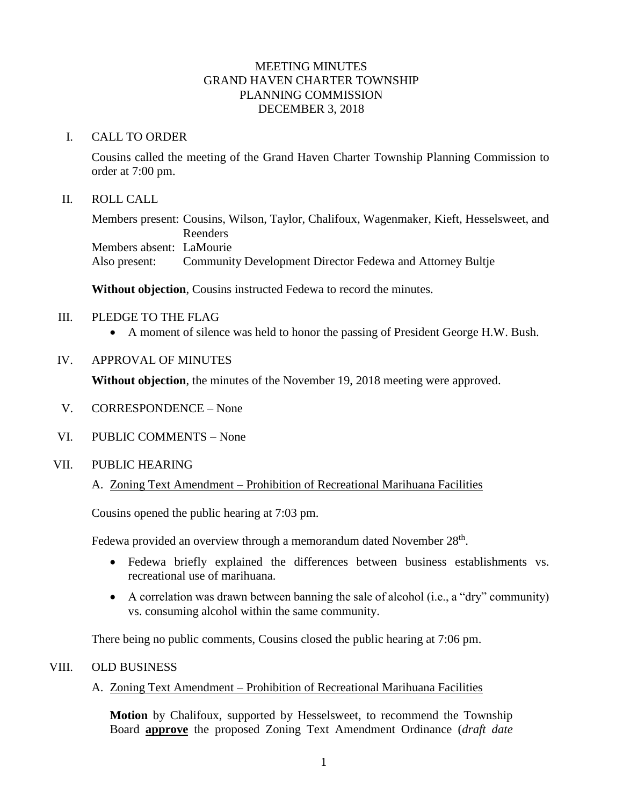## MEETING MINUTES GRAND HAVEN CHARTER TOWNSHIP PLANNING COMMISSION DECEMBER 3, 2018

## I. CALL TO ORDER

Cousins called the meeting of the Grand Haven Charter Township Planning Commission to order at 7:00 pm.

## II. ROLL CALL

Members present: Cousins, Wilson, Taylor, Chalifoux, Wagenmaker, Kieft, Hesselsweet, and Reenders Members absent: LaMourie Also present: Community Development Director Fedewa and Attorney Bultje

**Without objection**, Cousins instructed Fedewa to record the minutes.

### III. PLEDGE TO THE FLAG

- A moment of silence was held to honor the passing of President George H.W. Bush.
- IV. APPROVAL OF MINUTES

**Without objection**, the minutes of the November 19, 2018 meeting were approved.

- V. CORRESPONDENCE None
- VI. PUBLIC COMMENTS None
- VII. PUBLIC HEARING
	- A. Zoning Text Amendment Prohibition of Recreational Marihuana Facilities

Cousins opened the public hearing at 7:03 pm.

Fedewa provided an overview through a memorandum dated November 28<sup>th</sup>.

- Fedewa briefly explained the differences between business establishments vs. recreational use of marihuana.
- A correlation was drawn between banning the sale of alcohol (i.e., a "dry" community) vs. consuming alcohol within the same community.

There being no public comments, Cousins closed the public hearing at 7:06 pm.

#### VIII. OLD BUSINESS

A. Zoning Text Amendment – Prohibition of Recreational Marihuana Facilities

**Motion** by Chalifoux, supported by Hesselsweet, to recommend the Township Board **approve** the proposed Zoning Text Amendment Ordinance (*draft date*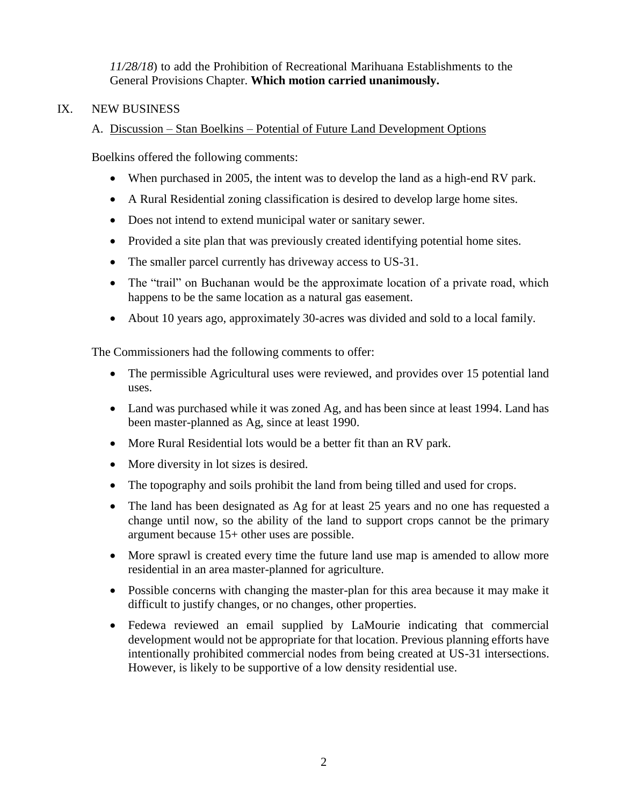*11/28/18*) to add the Prohibition of Recreational Marihuana Establishments to the General Provisions Chapter. **Which motion carried unanimously.**

# IX. NEW BUSINESS

# A. Discussion – Stan Boelkins – Potential of Future Land Development Options

Boelkins offered the following comments:

- When purchased in 2005, the intent was to develop the land as a high-end RV park.
- A Rural Residential zoning classification is desired to develop large home sites.
- Does not intend to extend municipal water or sanitary sewer.
- Provided a site plan that was previously created identifying potential home sites.
- The smaller parcel currently has driveway access to US-31.
- The "trail" on Buchanan would be the approximate location of a private road, which happens to be the same location as a natural gas easement.
- About 10 years ago, approximately 30-acres was divided and sold to a local family.

The Commissioners had the following comments to offer:

- The permissible Agricultural uses were reviewed, and provides over 15 potential land uses.
- Land was purchased while it was zoned Ag, and has been since at least 1994. Land has been master-planned as Ag, since at least 1990.
- More Rural Residential lots would be a better fit than an RV park.
- More diversity in lot sizes is desired.
- The topography and soils prohibit the land from being tilled and used for crops.
- The land has been designated as Ag for at least 25 years and no one has requested a change until now, so the ability of the land to support crops cannot be the primary argument because 15+ other uses are possible.
- More sprawl is created every time the future land use map is amended to allow more residential in an area master-planned for agriculture.
- Possible concerns with changing the master-plan for this area because it may make it difficult to justify changes, or no changes, other properties.
- Fedewa reviewed an email supplied by LaMourie indicating that commercial development would not be appropriate for that location. Previous planning efforts have intentionally prohibited commercial nodes from being created at US-31 intersections. However, is likely to be supportive of a low density residential use.